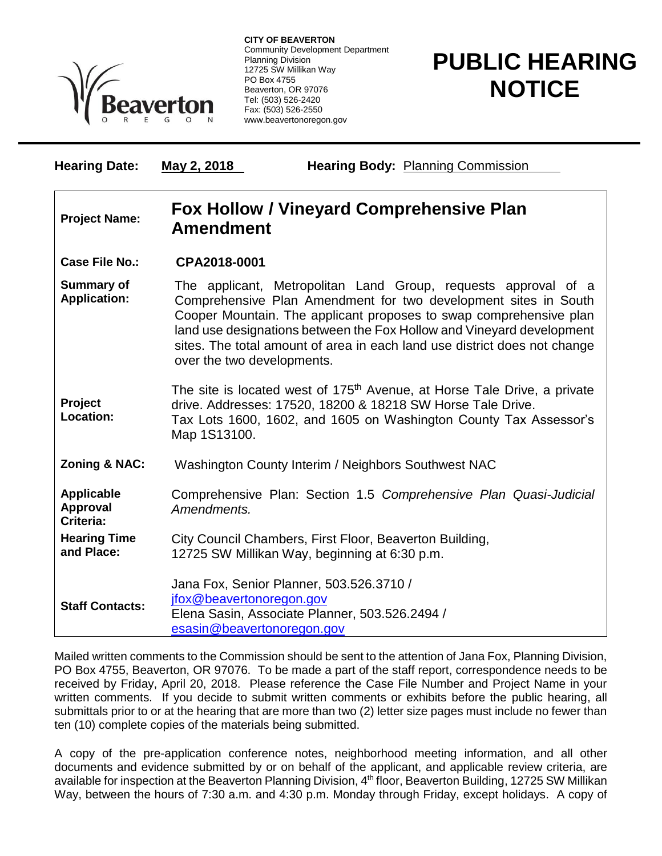

**CITY OF BEAVERTON** Community Development Department Planning Division 12725 SW Millikan Way PO Box 4755 Beaverton, OR 97076 Tel: (503) 526-2420 Fax: (503) 526-2550 www.beavertonoregon.gov

## **PUBLIC HEARING NOTICE**

| <b>Hearing Date:</b>                              | May 2, 2018                                                                                                                                                                                                                                                                                                                                                                                 | <b>Hearing Body: Planning Commission</b>                                                                 |
|---------------------------------------------------|---------------------------------------------------------------------------------------------------------------------------------------------------------------------------------------------------------------------------------------------------------------------------------------------------------------------------------------------------------------------------------------------|----------------------------------------------------------------------------------------------------------|
| <b>Project Name:</b>                              | <b>Fox Hollow / Vineyard Comprehensive Plan</b><br><b>Amendment</b>                                                                                                                                                                                                                                                                                                                         |                                                                                                          |
| <b>Case File No.:</b>                             | CPA2018-0001                                                                                                                                                                                                                                                                                                                                                                                |                                                                                                          |
| <b>Summary of</b><br><b>Application:</b>          | The applicant, Metropolitan Land Group, requests approval of a<br>Comprehensive Plan Amendment for two development sites in South<br>Cooper Mountain. The applicant proposes to swap comprehensive plan<br>land use designations between the Fox Hollow and Vineyard development<br>sites. The total amount of area in each land use district does not change<br>over the two developments. |                                                                                                          |
| Project<br>Location:                              | The site is located west of 175 <sup>th</sup> Avenue, at Horse Tale Drive, a private<br>drive. Addresses: 17520, 18200 & 18218 SW Horse Tale Drive.<br>Tax Lots 1600, 1602, and 1605 on Washington County Tax Assessor's<br>Map 1S13100.                                                                                                                                                    |                                                                                                          |
| Zoning & NAC:                                     | Washington County Interim / Neighbors Southwest NAC                                                                                                                                                                                                                                                                                                                                         |                                                                                                          |
| <b>Applicable</b><br><b>Approval</b><br>Criteria: | Comprehensive Plan: Section 1.5 Comprehensive Plan Quasi-Judicial<br>Amendments.                                                                                                                                                                                                                                                                                                            |                                                                                                          |
| <b>Hearing Time</b><br>and Place:                 |                                                                                                                                                                                                                                                                                                                                                                                             | City Council Chambers, First Floor, Beaverton Building,<br>12725 SW Millikan Way, beginning at 6:30 p.m. |
| <b>Staff Contacts:</b>                            | Jana Fox, Senior Planner, 503.526.3710 /<br>jfox@beavertonoregon.gov<br>Elena Sasin, Associate Planner, 503.526.2494 /<br>esasin@beavertonoregon.gov                                                                                                                                                                                                                                        |                                                                                                          |

Mailed written comments to the Commission should be sent to the attention of Jana Fox, Planning Division, PO Box 4755, Beaverton, OR 97076. To be made a part of the staff report, correspondence needs to be received by Friday, April 20, 2018. Please reference the Case File Number and Project Name in your written comments. If you decide to submit written comments or exhibits before the public hearing, all submittals prior to or at the hearing that are more than two (2) letter size pages must include no fewer than ten (10) complete copies of the materials being submitted.

A copy of the pre-application conference notes, neighborhood meeting information, and all other documents and evidence submitted by or on behalf of the applicant, and applicable review criteria, are available for inspection at the Beaverton Planning Division, 4<sup>th</sup> floor, Beaverton Building, 12725 SW Millikan Way, between the hours of 7:30 a.m. and 4:30 p.m. Monday through Friday, except holidays. A copy of